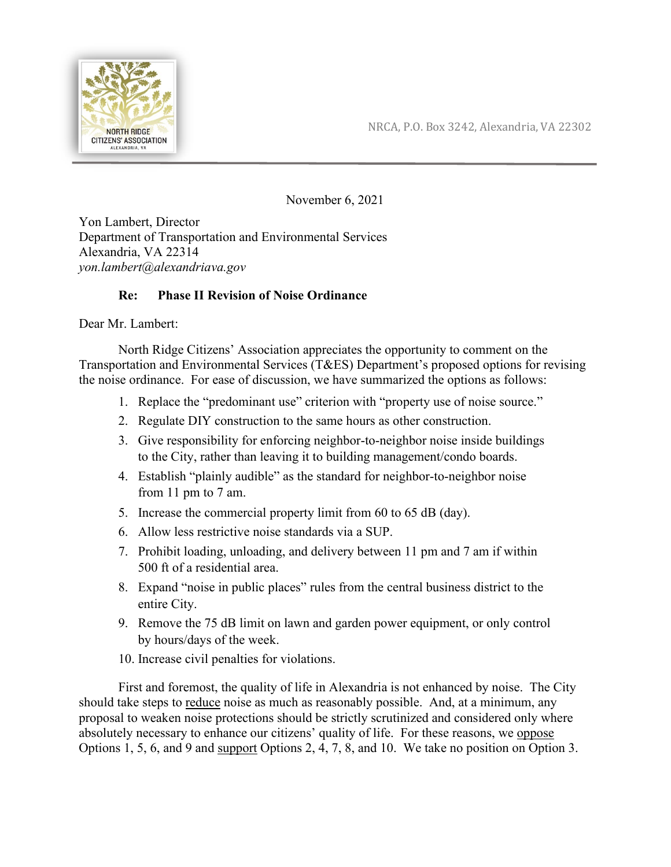



November 6, 2021

Yon Lambert, Director Department of Transportation and Environmental Services Alexandria, VA 22314 *yon.lambert@alexandriava.gov*

## **Re: Phase II Revision of Noise Ordinance**

Dear Mr. Lambert:

North Ridge Citizens' Association appreciates the opportunity to comment on the Transportation and Environmental Services (T&ES) Department's proposed options for revising the noise ordinance. For ease of discussion, we have summarized the options as follows:

- 1. Replace the "predominant use" criterion with "property use of noise source."
- 2. Regulate DIY construction to the same hours as other construction.
- 3. Give responsibility for enforcing neighbor-to-neighbor noise inside buildings to the City, rather than leaving it to building management/condo boards.
- 4. Establish "plainly audible" as the standard for neighbor-to-neighbor noise from 11 pm to 7 am.
- 5. Increase the commercial property limit from 60 to 65 dB (day).
- 6. Allow less restrictive noise standards via a SUP.
- 7. Prohibit loading, unloading, and delivery between 11 pm and 7 am if within 500 ft of a residential area.
- 8. Expand "noise in public places" rules from the central business district to the entire City.
- 9. Remove the 75 dB limit on lawn and garden power equipment, or only control by hours/days of the week.
- 10. Increase civil penalties for violations.

First and foremost, the quality of life in Alexandria is not enhanced by noise. The City should take steps to reduce noise as much as reasonably possible. And, at a minimum, any proposal to weaken noise protections should be strictly scrutinized and considered only where absolutely necessary to enhance our citizens' quality of life. For these reasons, we oppose Options 1, 5, 6, and 9 and support Options 2, 4, 7, 8, and 10. We take no position on Option 3.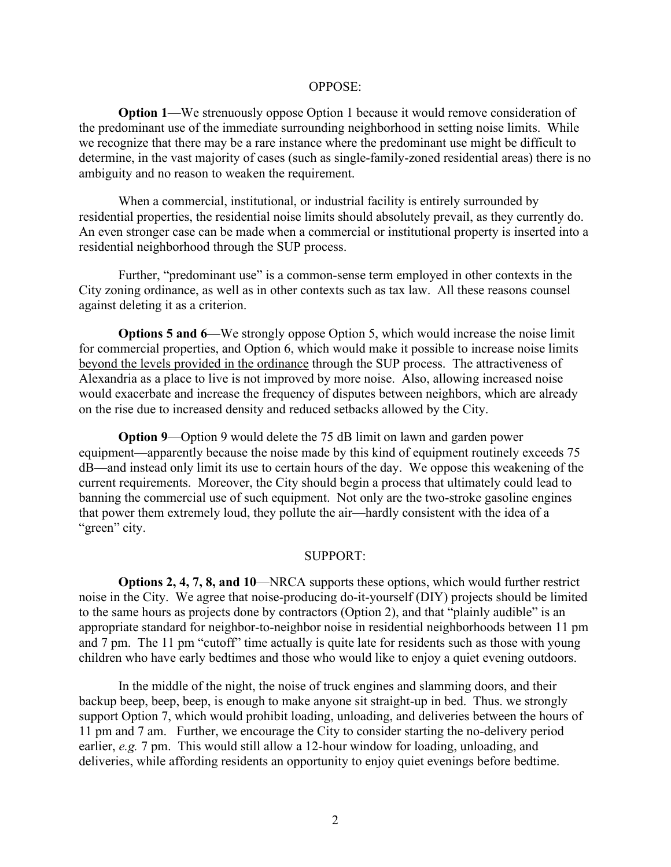## OPPOSE:

**Option 1**—We strenuously oppose Option 1 because it would remove consideration of the predominant use of the immediate surrounding neighborhood in setting noise limits. While we recognize that there may be a rare instance where the predominant use might be difficult to determine, in the vast majority of cases (such as single-family-zoned residential areas) there is no ambiguity and no reason to weaken the requirement.

When a commercial, institutional, or industrial facility is entirely surrounded by residential properties, the residential noise limits should absolutely prevail, as they currently do. An even stronger case can be made when a commercial or institutional property is inserted into a residential neighborhood through the SUP process.

Further, "predominant use" is a common-sense term employed in other contexts in the City zoning ordinance, as well as in other contexts such as tax law. All these reasons counsel against deleting it as a criterion.

**Options 5 and 6**—We strongly oppose Option 5, which would increase the noise limit for commercial properties, and Option 6, which would make it possible to increase noise limits beyond the levels provided in the ordinance through the SUP process. The attractiveness of Alexandria as a place to live is not improved by more noise. Also, allowing increased noise would exacerbate and increase the frequency of disputes between neighbors, which are already on the rise due to increased density and reduced setbacks allowed by the City.

**Option 9—Option** 9 would delete the 75 dB limit on lawn and garden power equipment—apparently because the noise made by this kind of equipment routinely exceeds 75 dB—and instead only limit its use to certain hours of the day. We oppose this weakening of the current requirements. Moreover, the City should begin a process that ultimately could lead to banning the commercial use of such equipment. Not only are the two-stroke gasoline engines that power them extremely loud, they pollute the air—hardly consistent with the idea of a "green" city.

## SUPPORT:

**Options 2, 4, 7, 8, and 10**—NRCA supports these options, which would further restrict noise in the City. We agree that noise-producing do-it-yourself (DIY) projects should be limited to the same hours as projects done by contractors (Option 2), and that "plainly audible" is an appropriate standard for neighbor-to-neighbor noise in residential neighborhoods between 11 pm and 7 pm. The 11 pm "cutoff" time actually is quite late for residents such as those with young children who have early bedtimes and those who would like to enjoy a quiet evening outdoors.

In the middle of the night, the noise of truck engines and slamming doors, and their backup beep, beep, beep, is enough to make anyone sit straight-up in bed. Thus. we strongly support Option 7, which would prohibit loading, unloading, and deliveries between the hours of 11 pm and 7 am. Further, we encourage the City to consider starting the no-delivery period earlier, *e.g.* 7 pm. This would still allow a 12-hour window for loading, unloading, and deliveries, while affording residents an opportunity to enjoy quiet evenings before bedtime.